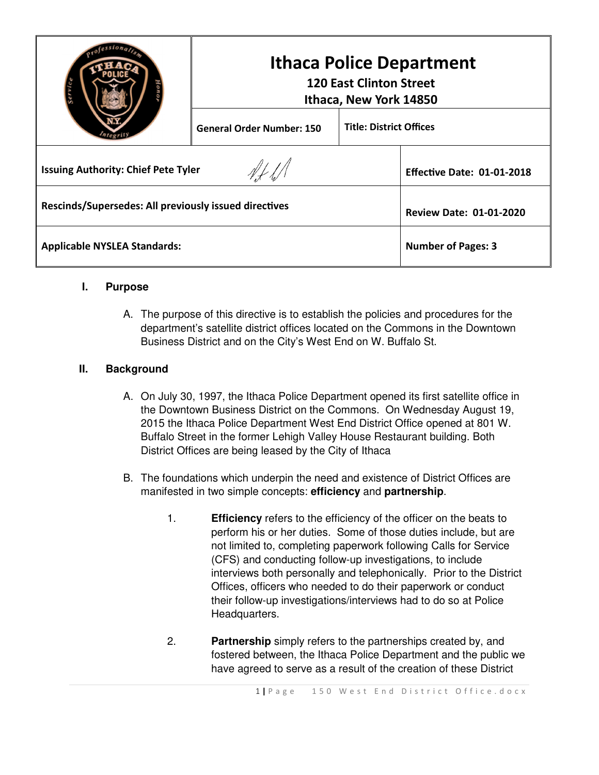|                                                       | <b>Ithaca Police Department</b><br><b>120 East Clinton Street</b><br>Ithaca, New York 14850 |                                |                                   |
|-------------------------------------------------------|---------------------------------------------------------------------------------------------|--------------------------------|-----------------------------------|
|                                                       | <b>General Order Number: 150</b>                                                            | <b>Title: District Offices</b> |                                   |
| <b>Issuing Authority: Chief Pete Tyler</b>            |                                                                                             |                                | <b>Effective Date: 01-01-2018</b> |
| Rescinds/Supersedes: All previously issued directives |                                                                                             |                                | <b>Review Date: 01-01-2020</b>    |
| <b>Applicable NYSLEA Standards:</b>                   |                                                                                             |                                | <b>Number of Pages: 3</b>         |

## **I. Purpose**

A. The purpose of this directive is to establish the policies and procedures for the department's satellite district offices located on the Commons in the Downtown Business District and on the City's West End on W. Buffalo St.

## **II. Background**

- A. On July 30, 1997, the Ithaca Police Department opened its first satellite office in the Downtown Business District on the Commons. On Wednesday August 19, 2015 the Ithaca Police Department West End District Office opened at 801 W. Buffalo Street in the former Lehigh Valley House Restaurant building. Both District Offices are being leased by the City of Ithaca
- B. The foundations which underpin the need and existence of District Offices are manifested in two simple concepts: **efficiency** and **partnership**.
	- 1. **Efficiency** refers to the efficiency of the officer on the beats to perform his or her duties. Some of those duties include, but are not limited to, completing paperwork following Calls for Service (CFS) and conducting follow-up investigations, to include interviews both personally and telephonically. Prior to the District Offices, officers who needed to do their paperwork or conduct their follow-up investigations/interviews had to do so at Police Headquarters.
	- 2. **Partnership** simply refers to the partnerships created by, and fostered between, the Ithaca Police Department and the public we have agreed to serve as a result of the creation of these District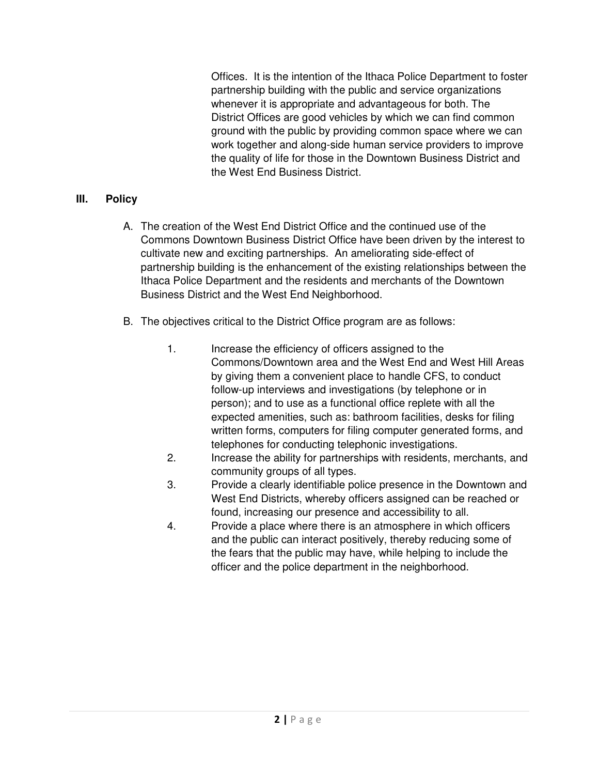Offices. It is the intention of the Ithaca Police Department to foster partnership building with the public and service organizations whenever it is appropriate and advantageous for both. The District Offices are good vehicles by which we can find common ground with the public by providing common space where we can work together and along-side human service providers to improve the quality of life for those in the Downtown Business District and the West End Business District.

## **III. Policy**

- A. The creation of the West End District Office and the continued use of the Commons Downtown Business District Office have been driven by the interest to cultivate new and exciting partnerships. An ameliorating side-effect of partnership building is the enhancement of the existing relationships between the Ithaca Police Department and the residents and merchants of the Downtown Business District and the West End Neighborhood.
- B. The objectives critical to the District Office program are as follows:
	- 1. Increase the efficiency of officers assigned to the Commons/Downtown area and the West End and West Hill Areas by giving them a convenient place to handle CFS, to conduct follow-up interviews and investigations (by telephone or in person); and to use as a functional office replete with all the expected amenities, such as: bathroom facilities, desks for filing written forms, computers for filing computer generated forms, and telephones for conducting telephonic investigations.
	- 2. Increase the ability for partnerships with residents, merchants, and community groups of all types.
	- 3. Provide a clearly identifiable police presence in the Downtown and West End Districts, whereby officers assigned can be reached or found, increasing our presence and accessibility to all.
	- 4. Provide a place where there is an atmosphere in which officers and the public can interact positively, thereby reducing some of the fears that the public may have, while helping to include the officer and the police department in the neighborhood.